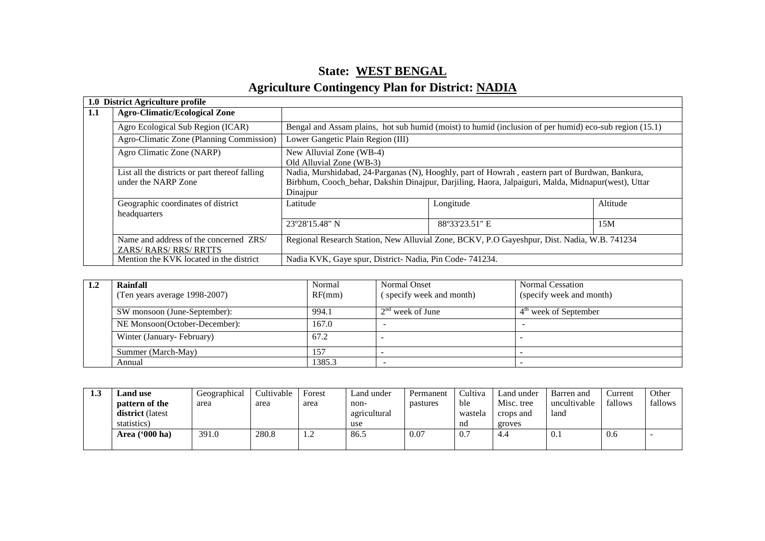# **State: WEST BENGALAgriculture Contingency Plan for District: NADIA**

|                                                                                                                                             | 1.0 District Agriculture profile                                      |                                                                                                                                                                                                                   |                                                        |          |  |  |
|---------------------------------------------------------------------------------------------------------------------------------------------|-----------------------------------------------------------------------|-------------------------------------------------------------------------------------------------------------------------------------------------------------------------------------------------------------------|--------------------------------------------------------|----------|--|--|
| 1.1                                                                                                                                         | <b>Agro-Climatic/Ecological Zone</b>                                  |                                                                                                                                                                                                                   |                                                        |          |  |  |
| Agro Ecological Sub Region (ICAR)<br>Bengal and Assam plains, hot sub humid (moist) to humid (inclusion of per humid) eco-sub region (15.1) |                                                                       |                                                                                                                                                                                                                   |                                                        |          |  |  |
|                                                                                                                                             | Agro-Climatic Zone (Planning Commission)                              | Lower Gangetic Plain Region (III)                                                                                                                                                                                 |                                                        |          |  |  |
|                                                                                                                                             | Agro Climatic Zone (NARP)                                             | New Alluvial Zone (WB-4)<br>Old Alluvial Zone (WB-3)                                                                                                                                                              |                                                        |          |  |  |
|                                                                                                                                             | List all the districts or part thereof falling<br>under the NARP Zone | Nadia, Murshidabad, 24-Parganas (N), Hooghly, part of Howrah, eastern part of Burdwan, Bankura,<br>Birbhum, Cooch_behar, Dakshin Dinajpur, Darjiling, Haora, Jalpaiguri, Malda, Midnapur(west), Uttar<br>Dinajpur |                                                        |          |  |  |
|                                                                                                                                             | Geographic coordinates of district<br>headquarters                    | Latitude                                                                                                                                                                                                          | Longitude                                              | Altitude |  |  |
|                                                                                                                                             |                                                                       | 23°28'15.48" N                                                                                                                                                                                                    | 88°33'23.51" E                                         | 15M      |  |  |
|                                                                                                                                             | Name and address of the concerned ZRS/<br>ZARS/RARS/RRS/RRTTS         | Regional Research Station, New Alluvial Zone, BCKV, P.O Gayeshpur, Dist. Nadia, W.B. 741234                                                                                                                       |                                                        |          |  |  |
|                                                                                                                                             | Mention the KVK located in the district                               |                                                                                                                                                                                                                   | Nadia KVK, Gaye spur, District-Nadia, Pin Code-741234. |          |  |  |

| <b>1.4</b> | Rainfall<br>(Ten years average 1998-2007) | Normal<br>RF(mm) | Normal Onset<br>(specify week and month) | <b>Normal Cessation</b><br>(specify week and month) |
|------------|-------------------------------------------|------------------|------------------------------------------|-----------------------------------------------------|
|            | SW monsoon (June-September):              | 994.1            | $2nd$ week of June                       | $4th$ week of September                             |
|            | NE Monsoon(October-December):             | 167.0            |                                          |                                                     |
|            | Winter (January-February)                 | 67.2             |                                          |                                                     |
|            | Summer (March-May)                        | 157              |                                          |                                                     |
|            | Annual                                    | 1385.3           |                                          |                                                     |

| 1.3 | and use.                | Geographical | Cultivable | Forest | Land under   | Permanent | Cultiva | Land under | Barren and   | Current | Other   |
|-----|-------------------------|--------------|------------|--------|--------------|-----------|---------|------------|--------------|---------|---------|
|     | pattern of the          | area         | area       | area   | non-         | pastures  | ble     | Misc. tree | uncultivable | fallows | fallows |
|     | <b>district</b> (latest |              |            |        | agricultural |           | wastela | crops and  | land         |         |         |
|     | statistics)             |              |            |        | use          |           | nd      | groves     |              |         |         |
|     | Area ('000 ha)          | 391.0        | 280.8      | 1.2    | 86.5         | 0.07      | 0.7     | 4.4        | 0.1          | 0.6     |         |
|     |                         |              |            |        |              |           |         |            |              |         |         |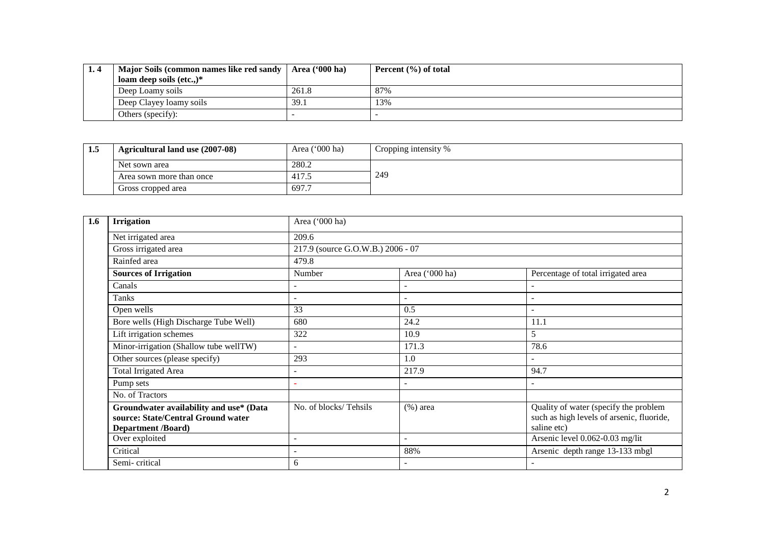| Major Soils (common names like red sandy | Area ('000 ha) | Percent $(\% )$ of total |
|------------------------------------------|----------------|--------------------------|
| loam deep soils $(\text{etc.})^*$        |                |                          |
| Deep Loamy soils                         | 261.8          | 87%                      |
| Deep Clayey loamy soils                  | 39.1           | 13%                      |
| Others (specify):                        |                |                          |

| 1.5 | Agricultural land use (2007-08) | Area $('000 ha)$ | Cropping intensity % |
|-----|---------------------------------|------------------|----------------------|
|     | Net sown area                   | 280.2            |                      |
|     | Area sown more than once        | 417.5            | 249                  |
|     | Gross cropped area              | 697.7            |                      |

| 1.6 | <b>Irrigation</b>                                                                                          | Area ('000 ha)                    |                          |                                                                                                   |  |  |  |
|-----|------------------------------------------------------------------------------------------------------------|-----------------------------------|--------------------------|---------------------------------------------------------------------------------------------------|--|--|--|
|     | Net irrigated area                                                                                         | 209.6                             |                          |                                                                                                   |  |  |  |
|     | Gross irrigated area                                                                                       | 217.9 (source G.O.W.B.) 2006 - 07 |                          |                                                                                                   |  |  |  |
|     | Rainfed area                                                                                               | 479.8                             |                          |                                                                                                   |  |  |  |
|     | <b>Sources of Irrigation</b>                                                                               | Number                            | Area ('000 ha)           | Percentage of total irrigated area                                                                |  |  |  |
|     | Canals                                                                                                     |                                   |                          |                                                                                                   |  |  |  |
|     | Tanks                                                                                                      |                                   | $\overline{\phantom{0}}$ | ۰                                                                                                 |  |  |  |
|     | Open wells                                                                                                 | 33                                | 0.5                      | ۰                                                                                                 |  |  |  |
|     | Bore wells (High Discharge Tube Well)                                                                      | 680                               | 24.2                     | 11.1                                                                                              |  |  |  |
|     | Lift irrigation schemes                                                                                    | 322                               | 10.9                     | 5                                                                                                 |  |  |  |
|     | Minor-irrigation (Shallow tube wellTW)                                                                     |                                   | 171.3                    | 78.6                                                                                              |  |  |  |
|     | Other sources (please specify)                                                                             | 293                               | 1.0                      | $\overline{a}$                                                                                    |  |  |  |
|     | Total Irrigated Area                                                                                       | $\overline{\phantom{0}}$          | 217.9                    | 94.7                                                                                              |  |  |  |
|     | Pump sets                                                                                                  |                                   | ٠                        |                                                                                                   |  |  |  |
|     | No. of Tractors                                                                                            |                                   |                          |                                                                                                   |  |  |  |
|     | Groundwater availability and use* (Data<br>source: State/Central Ground water<br><b>Department /Board)</b> | No. of blocks/Tehsils             | $(\%)$ area              | Quality of water (specify the problem<br>such as high levels of arsenic, fluoride,<br>saline etc) |  |  |  |
|     | Over exploited                                                                                             | $\overline{\phantom{0}}$          |                          | Arsenic level 0.062-0.03 mg/lit                                                                   |  |  |  |
|     | Critical                                                                                                   | $\overline{\phantom{0}}$          | 88%                      | Arsenic depth range 13-133 mbgl                                                                   |  |  |  |
|     | Semi-critical                                                                                              | 6                                 | $\overline{\phantom{0}}$ |                                                                                                   |  |  |  |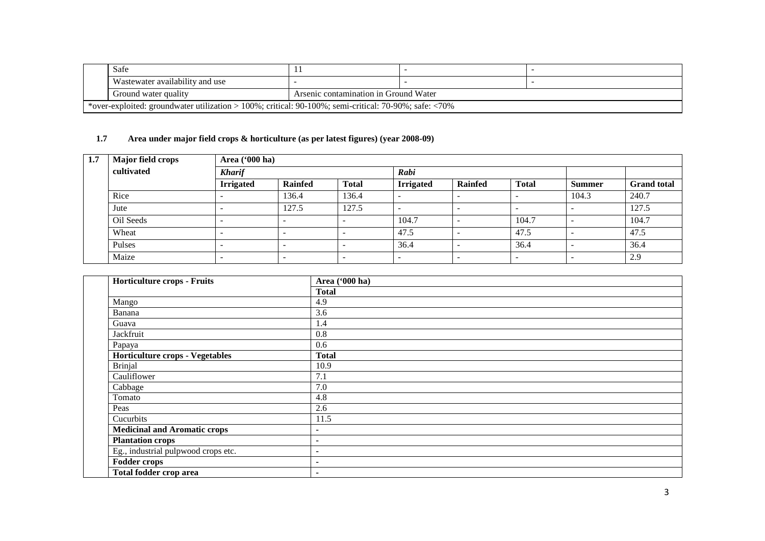|                                                                                                       | Safe                            |                                       |  |  |  |  |
|-------------------------------------------------------------------------------------------------------|---------------------------------|---------------------------------------|--|--|--|--|
|                                                                                                       | Wastewater availability and use |                                       |  |  |  |  |
|                                                                                                       | Ground water quality            | Arsenic contamination in Ground Water |  |  |  |  |
| *over-exploited: groundwater utilization > 100%; critical: 90-100%; semi-critical: 70-90%; safe: <70% |                                 |                                       |  |  |  |  |

# **1.7 Area under major field crops & horticulture (as per latest figures) (year 2008-09)**

| 1.7 | <b>Major field crops</b> | Area ('000 ha)   |                |                          |                          |                          |                          |               |                    |  |
|-----|--------------------------|------------------|----------------|--------------------------|--------------------------|--------------------------|--------------------------|---------------|--------------------|--|
|     | cultivated               | <b>Kharif</b>    |                |                          | Rabi                     |                          |                          |               |                    |  |
|     |                          | <b>Irrigated</b> | <b>Rainfed</b> | <b>Total</b>             | <b>Irrigated</b>         | <b>Rainfed</b>           | <b>Total</b>             | <b>Summer</b> | <b>Grand</b> total |  |
|     | Rice                     |                  | 136.4          | 136.4                    |                          | $\overline{\phantom{0}}$ | -                        | 104.3         | 240.7              |  |
|     | Jute                     |                  | 127.5          | 127.5                    | -                        | $\overline{\phantom{0}}$ | $\overline{\phantom{0}}$ |               | 127.5              |  |
|     | Oil Seeds                | -                |                | -                        | 104.7                    |                          | 104.7                    |               | 104.7              |  |
|     | Wheat                    | -                |                | $\overline{\phantom{0}}$ | 47.5                     |                          | 47.5                     |               | 47.5               |  |
|     | Pulses                   | -                |                | -                        | 36.4                     |                          | 36.4                     |               | 36.4               |  |
|     | Maize                    | $\qquad \qquad$  |                | $\overline{\phantom{0}}$ | $\overline{\phantom{0}}$ | $\overline{\phantom{0}}$ | $\overline{\phantom{0}}$ |               | 2.9                |  |

| Horticulture crops - Fruits            | Area ('000 ha) |
|----------------------------------------|----------------|
|                                        | <b>Total</b>   |
| Mango                                  | 4.9            |
| Banana                                 | 3.6            |
| Guava                                  | 1.4            |
| Jackfruit                              | 0.8            |
| Papaya                                 | 0.6            |
| <b>Horticulture crops - Vegetables</b> | <b>Total</b>   |
| <b>Brinjal</b>                         | 10.9           |
| Cauliflower                            | 7.1            |
| Cabbage                                | 7.0            |
| Tomato                                 | 4.8            |
| Peas                                   | 2.6            |
| Cucurbits                              | 11.5           |
| <b>Medicinal and Aromatic crops</b>    |                |
| <b>Plantation crops</b>                | $\blacksquare$ |
| Eg., industrial pulpwood crops etc.    |                |
| <b>Fodder crops</b>                    |                |
| Total fodder crop area                 |                |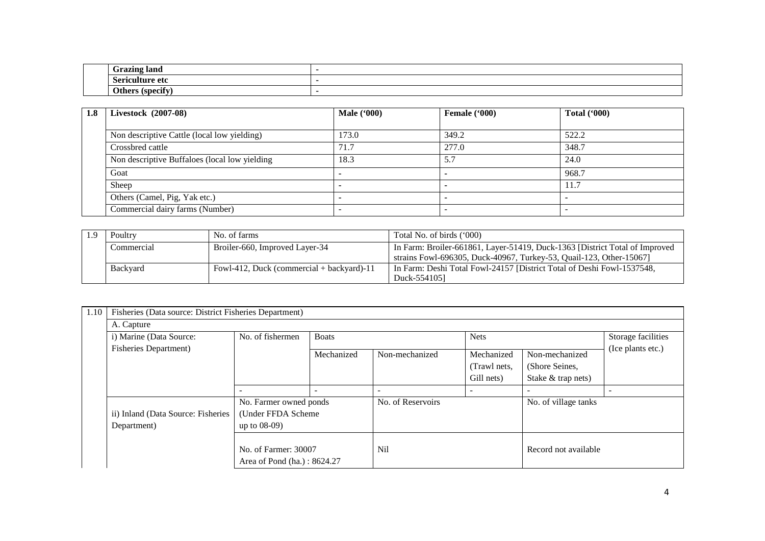|  | ⊥roπna lonc<br>iailu<br><b>ULAL</b>               | . . |
|--|---------------------------------------------------|-----|
|  | wulture<br>$\mathbf{a}$ $\mathbf{r}$<br>. etc<br> | . . |
|  | $\mathbf{M}$<br>10000<br>.                        | . . |
|  |                                                   |     |

| 1.8 | <b>Livestock</b> (2007-08)                    | <b>Male</b> ('000) | Female $(900)$ | Total $(900)$ |  |
|-----|-----------------------------------------------|--------------------|----------------|---------------|--|
|     |                                               |                    |                |               |  |
|     | Non descriptive Cattle (local low yielding)   | 173.0              | 349.2          | 522.2         |  |
|     | Crossbred cattle                              | 71.7               | 277.0          | 348.7         |  |
|     | Non descriptive Buffaloes (local low yielding | 18.3               | 5.7            | 24.0          |  |
|     | Goat                                          |                    |                | 968.7         |  |
|     | Sheep                                         |                    |                | 11.7          |  |
|     | Others (Camel, Pig, Yak etc.)                 |                    |                |               |  |
|     | Commercial dairy farms (Number)               |                    |                |               |  |

| Poultry    | No. of farms                                | Total No. of birds ('000)                                                                                                                          |
|------------|---------------------------------------------|----------------------------------------------------------------------------------------------------------------------------------------------------|
| Commercial | Broiler-660, Improved Layer-34              | In Farm: Broiler-661861, Layer-51419, Duck-1363 [District Total of Improved<br>strains Fowl-696305, Duck-40967, Turkey-53, Quail-123, Other-15067] |
| Backyard   | Fowl-412, Duck (commercial $+$ backyard)-11 | In Farm: Deshi Total Fowl-24157 [District Total of Deshi Fowl-1537548,<br>Duck-5541051                                                             |

| 1.10 | Fisheries (Data source: District Fisheries Department)                     |                                                               |            |                   |                            |                                  |                    |  |  |  |
|------|----------------------------------------------------------------------------|---------------------------------------------------------------|------------|-------------------|----------------------------|----------------------------------|--------------------|--|--|--|
|      | A. Capture                                                                 |                                                               |            |                   |                            |                                  |                    |  |  |  |
|      | No. of fishermen<br>i) Marine (Data Source:<br><b>Boats</b><br><b>Nets</b> |                                                               |            |                   |                            |                                  | Storage facilities |  |  |  |
|      | <b>Fisheries Department</b> )                                              |                                                               | Mechanized | Non-mechanized    | Mechanized<br>(Trawl nets, | Non-mechanized<br>(Shore Seines, | (Ice plants etc.)  |  |  |  |
|      |                                                                            |                                                               |            |                   | Gill nets)                 | Stake & trap nets)               |                    |  |  |  |
|      |                                                                            |                                                               |            |                   |                            | ۰                                |                    |  |  |  |
|      | ii) Inland (Data Source: Fisheries<br>Department)                          | No. Farmer owned ponds<br>(Under FFDA Scheme)<br>up to 08-09) |            | No. of Reservoirs |                            | No. of village tanks             |                    |  |  |  |
|      |                                                                            | No. of Farmer: 30007<br>Area of Pond (ha.): 8624.27           |            | Nil               |                            | Record not available             |                    |  |  |  |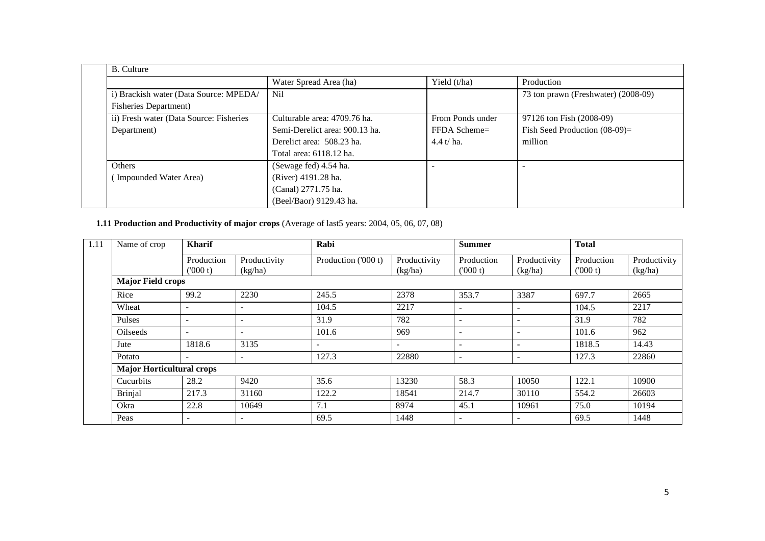| <b>B.</b> Culture                       |                                |                  |                                     |  |
|-----------------------------------------|--------------------------------|------------------|-------------------------------------|--|
|                                         | Water Spread Area (ha)         | Yield (t/ha)     | Production                          |  |
| i) Brackish water (Data Source: MPEDA/  | Nil                            |                  | 73 ton prawn (Freshwater) (2008-09) |  |
| <b>Fisheries Department)</b>            |                                |                  |                                     |  |
| ii) Fresh water (Data Source: Fisheries | Culturable area: 4709.76 ha.   | From Ponds under | 97126 ton Fish (2008-09)            |  |
| Department)                             | Semi-Derelict area: 900.13 ha. | $FFDA$ Scheme=   | Fish Seed Production $(08-09)$ =    |  |
|                                         | Derelict area: 508.23 ha.      | $4.4 t/ha$ .     | million                             |  |
|                                         | Total area: 6118.12 ha.        |                  |                                     |  |
| <b>Others</b>                           | (Sewage fed) 4.54 ha.          |                  |                                     |  |
| Impounded Water Area)                   | (River) 4191.28 ha.            |                  |                                     |  |
|                                         | (Canal) 2771.75 ha.            |                  |                                     |  |
|                                         | (Beel/Baor) 9129.43 ha.        |                  |                                     |  |

#### **1.11 Production and Productivity of major crops** (Average of last5 years: 2004, 05, 06, 07, 08)

| 1.11 | Name of crop                     | Kharif                   |                          | Rabi                |                         | <b>Summer</b>            |                          | <b>Total</b>          |                         |  |
|------|----------------------------------|--------------------------|--------------------------|---------------------|-------------------------|--------------------------|--------------------------|-----------------------|-------------------------|--|
|      |                                  | Production<br>(1000 t)   | Productivity<br>(kg/ha)  | Production ('000 t) | Productivity<br>(kg/ha) | Production<br>(000 t)    | Productivity<br>(kg/ha)  | Production<br>(000 t) | Productivity<br>(kg/ha) |  |
|      | <b>Major Field crops</b>         |                          |                          |                     |                         |                          |                          |                       |                         |  |
|      | Rice                             | 99.2                     | 2230                     | 245.5               | 2378                    | 353.7                    | 3387                     | 697.7                 | 2665                    |  |
|      | Wheat                            |                          |                          | 104.5               | 2217                    | $\overline{\phantom{a}}$ | $\overline{\phantom{a}}$ | 104.5                 | 2217                    |  |
|      | Pulses                           |                          |                          | 31.9                | 782                     |                          | $\overline{\phantom{a}}$ | 31.9                  | 782                     |  |
|      | <b>Oilseeds</b>                  |                          | $\overline{\phantom{a}}$ | 101.6               | 969                     | $\overline{\phantom{a}}$ | $\overline{\phantom{a}}$ | 101.6                 | 962                     |  |
|      | Jute                             | 1818.6                   | 3135                     |                     |                         |                          | $\overline{\phantom{a}}$ | 1818.5                | 14.43                   |  |
|      | Potato                           |                          | $\sim$                   | 127.3               | 22880                   | $\overline{\phantom{a}}$ | $\sim$                   | 127.3                 | 22860                   |  |
|      | <b>Major Horticultural crops</b> |                          |                          |                     |                         |                          |                          |                       |                         |  |
|      | Cucurbits                        | 28.2                     | 9420                     | 35.6                | 13230                   | 58.3                     | 10050                    | 122.1                 | 10900                   |  |
|      | <b>Brinjal</b>                   | 217.3                    | 31160                    | 122.2               | 18541                   | 214.7                    | 30110                    | 554.2                 | 26603                   |  |
|      | Okra                             | 22.8                     | 10649                    | 7.1                 | 8974                    | 45.1                     | 10961                    | 75.0                  | 10194                   |  |
|      | Peas                             | $\overline{\phantom{a}}$ | $\overline{\phantom{0}}$ | 69.5                | 1448                    | $\overline{\phantom{0}}$ | $\overline{\phantom{a}}$ | 69.5                  | 1448                    |  |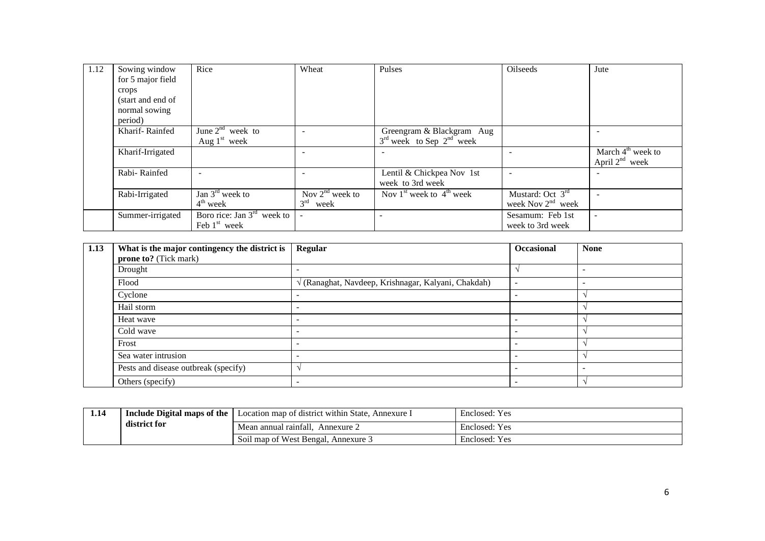| 1.12 | Sowing window     | Rice                         | Wheat                | Pulses                       | Oilseeds               | Jute                                       |
|------|-------------------|------------------------------|----------------------|------------------------------|------------------------|--------------------------------------------|
|      | for 5 major field |                              |                      |                              |                        |                                            |
|      | crops             |                              |                      |                              |                        |                                            |
|      | (start and end of |                              |                      |                              |                        |                                            |
|      | normal sowing     |                              |                      |                              |                        |                                            |
|      | period)           |                              |                      |                              |                        |                                            |
|      | Kharif-Rainfed    | June $2^{nd}$ week to        |                      | Greengram & Blackgram Aug    |                        |                                            |
|      |                   | Aug $1st$ week               |                      | $3rd$ week to Sep $2nd$ week |                        |                                            |
|      | Kharif-Irrigated  |                              |                      |                              |                        | March $4th$ week to<br>April $2^{nd}$ week |
|      | Rabi-Rainfed      | $\overline{\phantom{a}}$     |                      | Lentil & Chickpea Nov 1st    |                        |                                            |
|      |                   |                              |                      | week to 3rd week             |                        |                                            |
|      | Rabi-Irrigated    | Jan $3^{\text{rd}}$ week to  | Nov $2^{nd}$ week to | Nov $1st$ week to $4th$ week | Mustard: Oct $3rd$     |                                            |
|      |                   | $4th$ week                   | $3^{rd}$<br>week     |                              | week Nov $2^{nd}$ week |                                            |
|      | Summer-irrigated  | Boro rice: Jan $3rd$ week to | $\blacksquare$       |                              | Sesamum: Feb 1st       | $\sim$                                     |
|      |                   | Feb $1st$ week               |                      |                              | week to 3rd week       |                                            |

| 1.13 | What is the major contingency the district is<br><b>prone to?</b> (Tick mark) | Regular                                                    | Occasional               | <b>None</b>              |
|------|-------------------------------------------------------------------------------|------------------------------------------------------------|--------------------------|--------------------------|
|      | Drought                                                                       |                                                            |                          | $\overline{\phantom{a}}$ |
|      | Flood                                                                         | $\sqrt{(Ranaghat, Navdeep, Krishnagar, Kalyani, Chakdah)}$ | $\overline{\phantom{a}}$ | $\overline{\phantom{a}}$ |
|      | Cyclone                                                                       |                                                            |                          |                          |
|      | Hail storm                                                                    |                                                            |                          |                          |
|      | Heat wave                                                                     |                                                            |                          |                          |
|      | Cold wave                                                                     |                                                            |                          |                          |
|      | Frost                                                                         |                                                            |                          |                          |
|      | Sea water intrusion                                                           |                                                            |                          |                          |
|      | Pests and disease outbreak (specify)                                          |                                                            |                          | $\overline{\phantom{a}}$ |
|      | Others (specify)                                                              | $\sim$                                                     |                          |                          |

| 1.14 | Include Digital maps of the | Location map of district within State,<br>Annexure I | Enclosed: Yes |
|------|-----------------------------|------------------------------------------------------|---------------|
|      | district for                | Mean annual rainfall.<br>Annexure $\sim$             | Enclosed: Yes |
|      |                             | Soil map of West Bengal, Annexure 3                  | Enclosed: Yes |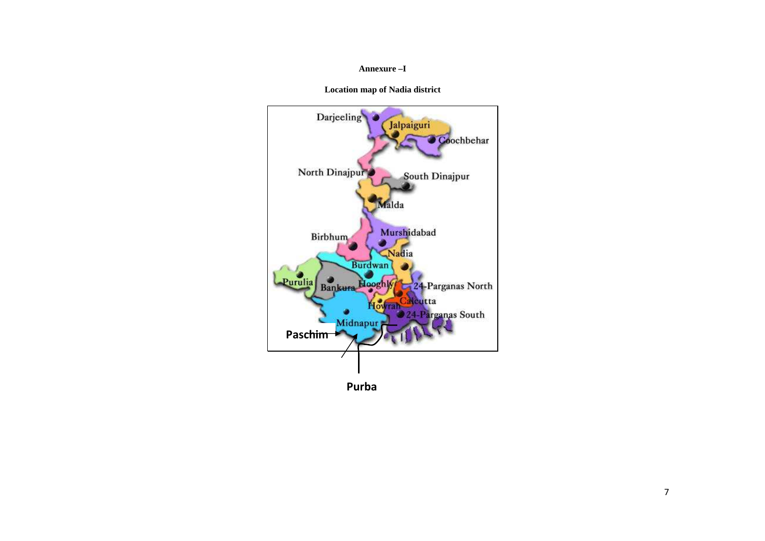#### **Annexure –I**

**Location map of Nadia district** 



**Purba**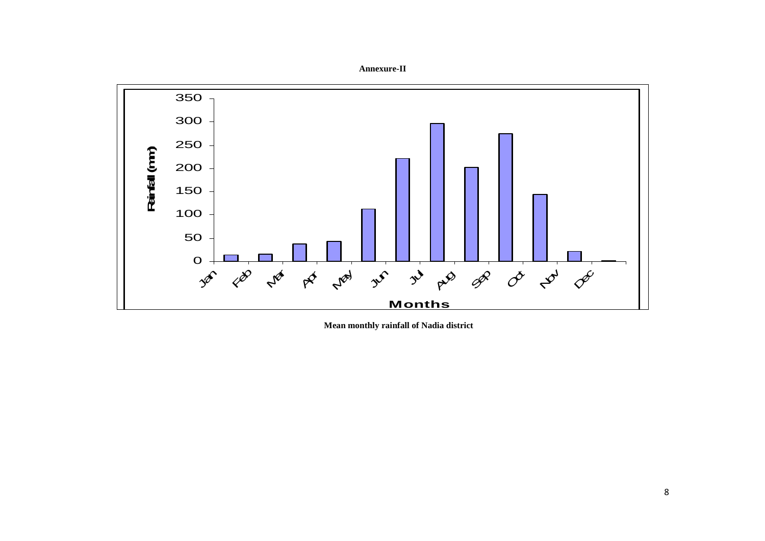

 **Mean monthly rainfall of Nadia district**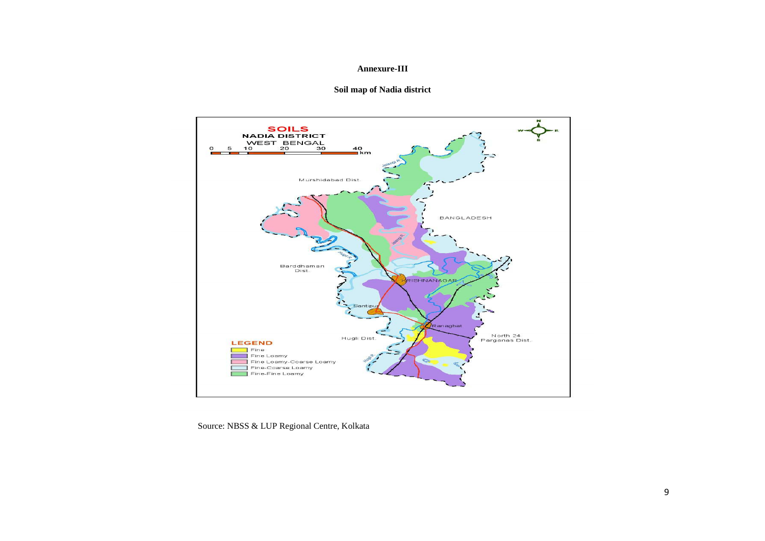#### **Annexure-III**

#### **Soil map of Nadia district**



Source: NBSS & LUP Regional Centre, Kolkata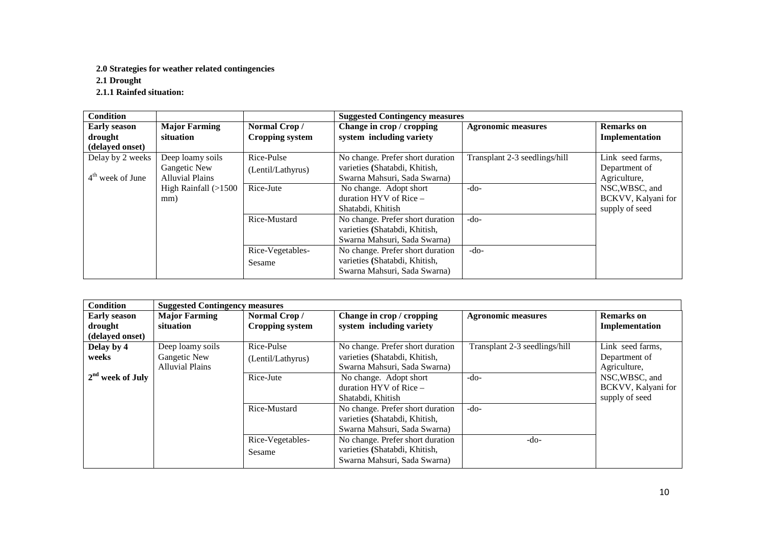#### **2.0 Strategies for weather related contingencies**

**2.1 Drought** 

**2.1.1 Rainfed situation:** 

| <b>Condition</b>    |                        |                        | <b>Suggested Contingency measures</b> |                               |                    |  |  |
|---------------------|------------------------|------------------------|---------------------------------------|-------------------------------|--------------------|--|--|
| <b>Early season</b> | <b>Major Farming</b>   | Normal Crop/           | Change in crop / cropping             | <b>Agronomic measures</b>     | <b>Remarks</b> on  |  |  |
| drought             | situation              | <b>Cropping system</b> | system including variety              |                               | Implementation     |  |  |
| (delayed onset)     |                        |                        |                                       |                               |                    |  |  |
| Delay by 2 weeks    | Deep loamy soils       | Rice-Pulse             | No change. Prefer short duration      | Transplant 2-3 seedlings/hill | Link seed farms,   |  |  |
|                     | Gangetic New           | (Lentil/Lathyrus)      | varieties (Shatabdi, Khitish,         |                               | Department of      |  |  |
| $4th$ week of June  | <b>Alluvial Plains</b> |                        | Swarna Mahsuri, Sada Swarna)          |                               | Agriculture,       |  |  |
|                     | High Rainfall $(>1500$ | Rice-Jute              | No change. Adopt short                | $-do-$                        | NSC, WBSC, and     |  |  |
|                     | mm)                    |                        | duration $HYV$ of Rice $-$            |                               | BCKVV, Kalyani for |  |  |
|                     |                        |                        | Shatabdi, Khitish                     |                               | supply of seed     |  |  |
|                     |                        | Rice-Mustard           | No change. Prefer short duration      | $-do-$                        |                    |  |  |
|                     |                        |                        | varieties (Shatabdi, Khitish,         |                               |                    |  |  |
|                     |                        |                        | Swarna Mahsuri, Sada Swarna)          |                               |                    |  |  |
|                     |                        | Rice-Vegetables-       | No change. Prefer short duration      | $-do-$                        |                    |  |  |
|                     |                        | Sesame                 | varieties (Shatabdi, Khitish,         |                               |                    |  |  |
|                     |                        |                        | Swarna Mahsuri, Sada Swarna)          |                               |                    |  |  |

| <b>Condition</b>                                                                                                                                                                          | <b>Suggested Contingency measures</b>                      |                                 |                                                                                                   |                                     |                                                        |
|-------------------------------------------------------------------------------------------------------------------------------------------------------------------------------------------|------------------------------------------------------------|---------------------------------|---------------------------------------------------------------------------------------------------|-------------------------------------|--------------------------------------------------------|
| <b>Major Farming</b><br>Normal Crop/<br>Change in crop / cropping<br><b>Early season</b><br>system including variety<br>drought<br>situation<br><b>Cropping system</b><br>(delayed onset) |                                                            |                                 | <b>Agronomic measures</b>                                                                         | <b>Remarks</b> on<br>Implementation |                                                        |
| Delay by 4<br>weeks                                                                                                                                                                       | Deep loamy soils<br>Gangetic New<br><b>Alluvial Plains</b> | Rice-Pulse<br>(Lentil/Lathyrus) | No change. Prefer short duration<br>varieties (Shatabdi, Khitish,<br>Swarna Mahsuri, Sada Swarna) | Transplant 2-3 seedlings/hill       | Link seed farms,<br>Department of<br>Agriculture,      |
| $2nd$ week of July                                                                                                                                                                        |                                                            | Rice-Jute                       | No change. Adopt short<br>duration $HYV$ of Rice $-$<br>Shatabdi, Khitish                         | $-do-$                              | NSC, WBSC, and<br>BCKVV, Kalyani for<br>supply of seed |
|                                                                                                                                                                                           |                                                            | Rice-Mustard                    | No change. Prefer short duration<br>varieties (Shatabdi, Khitish,<br>Swarna Mahsuri, Sada Swarna) | $-do-$                              |                                                        |
|                                                                                                                                                                                           |                                                            | Rice-Vegetables-<br>Sesame      | No change. Prefer short duration<br>varieties (Shatabdi, Khitish,<br>Swarna Mahsuri, Sada Swarna) | $-do-$                              |                                                        |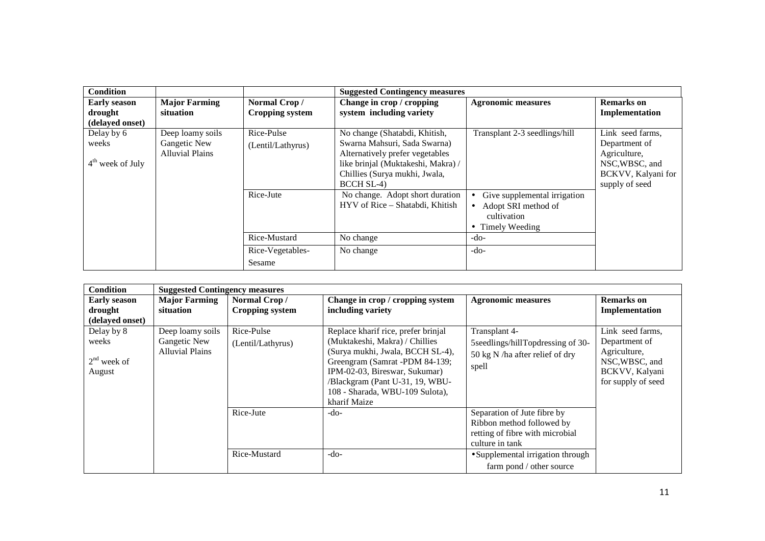| <b>Condition</b>    |                        |                        | <b>Suggested Contingency measures</b> |                               |                    |
|---------------------|------------------------|------------------------|---------------------------------------|-------------------------------|--------------------|
| <b>Early season</b> | <b>Major Farming</b>   | Normal Crop/           | Change in crop / cropping             | <b>Agronomic measures</b>     | <b>Remarks</b> on  |
| drought             | situation              | <b>Cropping system</b> | system including variety              |                               | Implementation     |
| (delayed onset)     |                        |                        |                                       |                               |                    |
| Delay by 6          | Deep loamy soils       | Rice-Pulse             | No change (Shatabdi, Khitish,         | Transplant 2-3 seedlings/hill | Link seed farms,   |
| weeks               | Gangetic New           | (Lentil/Lathyrus)      | Swarna Mahsuri, Sada Swarna)          |                               | Department of      |
|                     | <b>Alluvial Plains</b> |                        | Alternatively prefer vegetables       |                               | Agriculture,       |
| $4th$ week of July  |                        |                        | like brinjal (Muktakeshi, Makra) /    |                               | NSC, WBSC, and     |
|                     |                        |                        | Chillies (Surya mukhi, Jwala,         |                               | BCKVV, Kalyani for |
|                     |                        |                        | <b>BCCH SL-4)</b>                     |                               | supply of seed     |
|                     |                        | Rice-Jute              | No change. Adopt short duration       | Give supplemental irrigation  |                    |
|                     |                        |                        | HYV of Rice - Shatabdi, Khitish       | Adopt SRI method of           |                    |
|                     |                        |                        |                                       | cultivation                   |                    |
|                     |                        |                        |                                       | • Timely Weeding              |                    |
|                     |                        | Rice-Mustard           | No change                             | -do-                          |                    |
|                     |                        | Rice-Vegetables-       | No change                             | $-do-$                        |                    |
|                     |                        | Sesame                 |                                       |                               |                    |

| <b>Condition</b>    | <b>Suggested Contingency measures</b> |                   |                                     |                                    |                    |
|---------------------|---------------------------------------|-------------------|-------------------------------------|------------------------------------|--------------------|
| <b>Early season</b> | <b>Major Farming</b>                  | Normal Crop/      | Change in crop / cropping system    | <b>Agronomic measures</b>          | <b>Remarks</b> on  |
| drought             | situation                             | Cropping system   | including variety                   |                                    | Implementation     |
| (delayed onset)     |                                       |                   |                                     |                                    |                    |
| Delay by 8          | Deep loamy soils                      | Rice-Pulse        | Replace kharif rice, prefer brinjal | Transplant 4-                      | Link seed farms,   |
| weeks               | Gangetic New                          | (Lentil/Lathyrus) | (Muktakeshi, Makra) / Chillies      | 5 Seedlings/hillTopdressing of 30- | Department of      |
|                     | Alluvial Plains                       |                   | (Surya mukhi, Jwala, BCCH SL-4),    | 50 kg N /ha after relief of dry    | Agriculture,       |
| $2nd$ week of       |                                       |                   | Greengram (Samrat -PDM 84-139;      | spell                              | NSC, WBSC, and     |
| August              |                                       |                   | IPM-02-03, Bireswar, Sukumar)       |                                    | BCKVV, Kalyani     |
|                     |                                       |                   | /Blackgram (Pant U-31, 19, WBU-     |                                    | for supply of seed |
|                     |                                       |                   | 108 - Sharada, WBU-109 Sulota),     |                                    |                    |
|                     |                                       |                   | kharif Maize                        |                                    |                    |
|                     |                                       | Rice-Jute         | -do-                                | Separation of Jute fibre by        |                    |
|                     |                                       |                   |                                     | Ribbon method followed by          |                    |
|                     |                                       |                   |                                     | retting of fibre with microbial    |                    |
|                     |                                       |                   |                                     | culture in tank                    |                    |
|                     |                                       | Rice-Mustard      | $-do-$                              | • Supplemental irrigation through  |                    |
|                     |                                       |                   |                                     | farm pond / other source           |                    |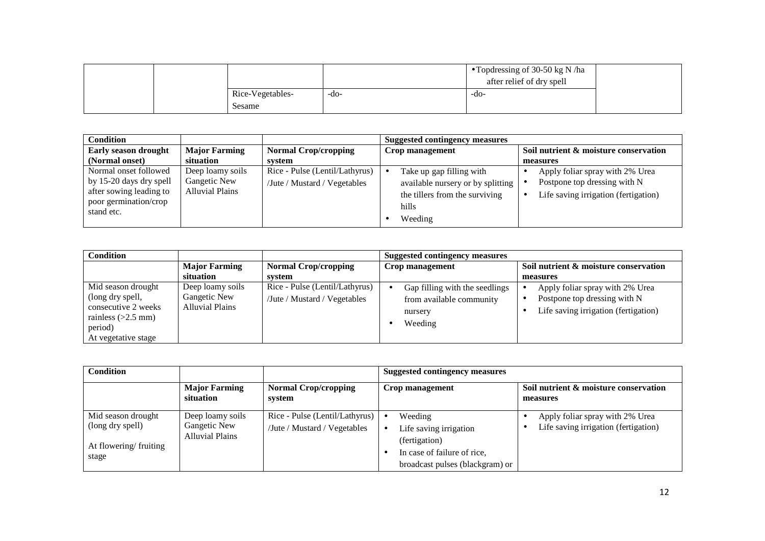|                  |      | • Topdressing of 30-50 kg N /ha<br>after relief of dry spell |  |
|------------------|------|--------------------------------------------------------------|--|
| Rice-Vegetables- | -do- | -do-                                                         |  |
| Sesame           |      |                                                              |  |

| <b>Condition</b>                    |                        |                                |  | <b>Suggested contingency measures</b> |  |                                       |  |
|-------------------------------------|------------------------|--------------------------------|--|---------------------------------------|--|---------------------------------------|--|
| Early season drought                | <b>Major Farming</b>   | <b>Normal Crop/cropping</b>    |  | Crop management                       |  | Soil nutrient & moisture conservation |  |
| (Normal onset)                      | situation              | system                         |  |                                       |  | measures                              |  |
| Normal onset followed               | Deep loamy soils       | Rice - Pulse (Lentil/Lathyrus) |  | Take up gap filling with              |  | Apply foliar spray with 2% Urea       |  |
| by 15-20 days dry spell             | Gangetic New           | /Jute / Mustard / Vegetables   |  | available nursery or by splitting     |  | Postpone top dressing with N          |  |
| after sowing leading to             | <b>Alluvial Plains</b> |                                |  | the tillers from the surviving        |  | Life saving irrigation (fertigation)  |  |
| poor germination/crop<br>stand etc. |                        |                                |  | hills                                 |  |                                       |  |
|                                     |                        |                                |  | Weeding                               |  |                                       |  |

| <b>Condition</b>                                                                                                        |                                                            |                                                                | <b>Suggested contingency measures</b>                                            |                                                                                                         |
|-------------------------------------------------------------------------------------------------------------------------|------------------------------------------------------------|----------------------------------------------------------------|----------------------------------------------------------------------------------|---------------------------------------------------------------------------------------------------------|
|                                                                                                                         | <b>Major Farming</b>                                       | <b>Normal Crop/cropping</b>                                    | Crop management                                                                  | Soil nutrient & moisture conservation                                                                   |
|                                                                                                                         | situation                                                  | svstem                                                         |                                                                                  | measures                                                                                                |
| Mid season drought<br>(long dry spell,<br>consecutive 2 weeks<br>rainless $(>2.5$ mm)<br>period)<br>At vegetative stage | Deep loamy soils<br>Gangetic New<br><b>Alluvial Plains</b> | Rice - Pulse (Lentil/Lathyrus)<br>/Jute / Mustard / Vegetables | Gap filling with the seedlings<br>from available community<br>nursery<br>Weeding | Apply foliar spray with 2% Urea<br>Postpone top dressing with N<br>Life saving irrigation (fertigation) |

| Condition                                                                |                                                            |                                                                          | <b>Suggested contingency measures</b>                                                                                |                                                                         |
|--------------------------------------------------------------------------|------------------------------------------------------------|--------------------------------------------------------------------------|----------------------------------------------------------------------------------------------------------------------|-------------------------------------------------------------------------|
|                                                                          | <b>Major Farming</b><br>situation                          | <b>Normal Crop/cropping</b><br>system                                    | Crop management                                                                                                      | Soil nutrient & moisture conservation<br>measures                       |
| Mid season drought<br>(long dry spell)<br>At flowering/fruiting<br>stage | Deep loamy soils<br>Gangetic New<br><b>Alluvial Plains</b> | Rice - Pulse (Lentil/Lathyrus) $\bullet$<br>/Jute / Mustard / Vegetables | Weeding<br>Life saving irrigation<br>(fertigation)<br>In case of failure of rice,<br>broadcast pulses (blackgram) or | Apply foliar spray with 2% Urea<br>Life saving irrigation (fertigation) |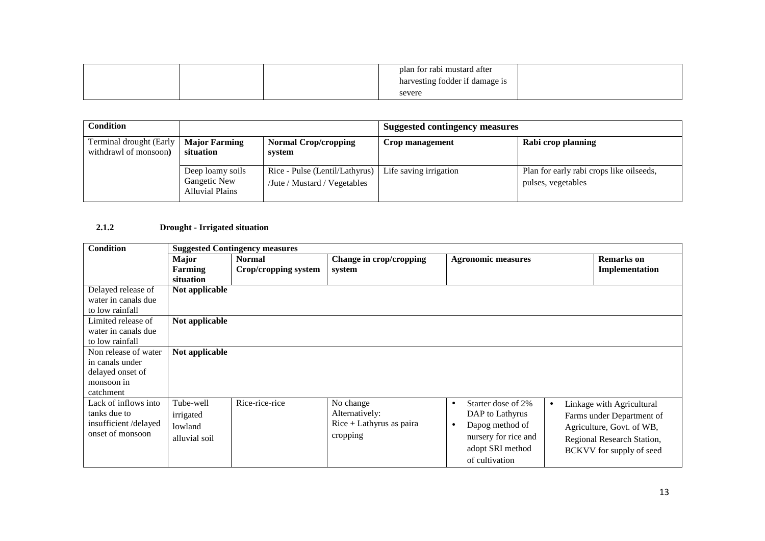|  | plan for rabi mustard after<br>harvesting fodder if damage is |  |
|--|---------------------------------------------------------------|--|
|  | severe                                                        |  |

| <b>Condition</b>                                 |                                                            |                                                                                         | <b>Suggested contingency measures</b> |                                                                |  |
|--------------------------------------------------|------------------------------------------------------------|-----------------------------------------------------------------------------------------|---------------------------------------|----------------------------------------------------------------|--|
| Terminal drought (Early<br>withdrawl of monsoon) | <b>Major Farming</b><br>situation                          | <b>Normal Crop/cropping</b><br>system                                                   | Crop management                       | Rabi crop planning                                             |  |
|                                                  | Deep loamy soils<br>Gangetic New<br><b>Alluvial Plains</b> | Rice - Pulse (Lentil/Lathyrus)   Life saving irrigation<br>/Jute / Mustard / Vegetables |                                       | Plan for early rabi crops like oilseeds,<br>pulses, vegetables |  |

#### **2.1.2Drought - Irrigated situation**

| <b>Condition</b>     | <b>Suggested Contingency measures</b> |                      |                            |                                 |           |                            |
|----------------------|---------------------------------------|----------------------|----------------------------|---------------------------------|-----------|----------------------------|
|                      | <b>Major</b>                          | <b>Normal</b>        | Change in crop/cropping    | <b>Agronomic measures</b>       |           | <b>Remarks</b> on          |
|                      | Farming                               | Crop/cropping system | system                     |                                 |           | Implementation             |
|                      | situation                             |                      |                            |                                 |           |                            |
| Delayed release of   | Not applicable                        |                      |                            |                                 |           |                            |
| water in canals due  |                                       |                      |                            |                                 |           |                            |
| to low rainfall      |                                       |                      |                            |                                 |           |                            |
| Limited release of   | Not applicable                        |                      |                            |                                 |           |                            |
| water in canals due  |                                       |                      |                            |                                 |           |                            |
| to low rainfall      |                                       |                      |                            |                                 |           |                            |
| Non release of water | Not applicable                        |                      |                            |                                 |           |                            |
| in canals under      |                                       |                      |                            |                                 |           |                            |
| delayed onset of     |                                       |                      |                            |                                 |           |                            |
| monsoon in           |                                       |                      |                            |                                 |           |                            |
| catchment            |                                       |                      |                            |                                 |           |                            |
| Lack of inflows into | Tube-well                             | Rice-rice-rice       | No change                  | Starter dose of 2%<br>$\bullet$ | $\bullet$ | Linkage with Agricultural  |
| tanks due to         | irrigated                             |                      | Alternatively:             | DAP to Lathyrus                 |           | Farms under Department of  |
| insufficient/delayed | lowland                               |                      | $Rice + Lathyrus$ as paira | Dapog method of<br>$\bullet$    |           | Agriculture, Govt. of WB,  |
| onset of monsoon     | alluvial soil                         |                      | cropping                   | nursery for rice and            |           |                            |
|                      |                                       |                      |                            | adopt SRI method                |           | Regional Research Station, |
|                      |                                       |                      |                            |                                 |           | BCKVV for supply of seed   |
|                      |                                       |                      |                            | of cultivation                  |           |                            |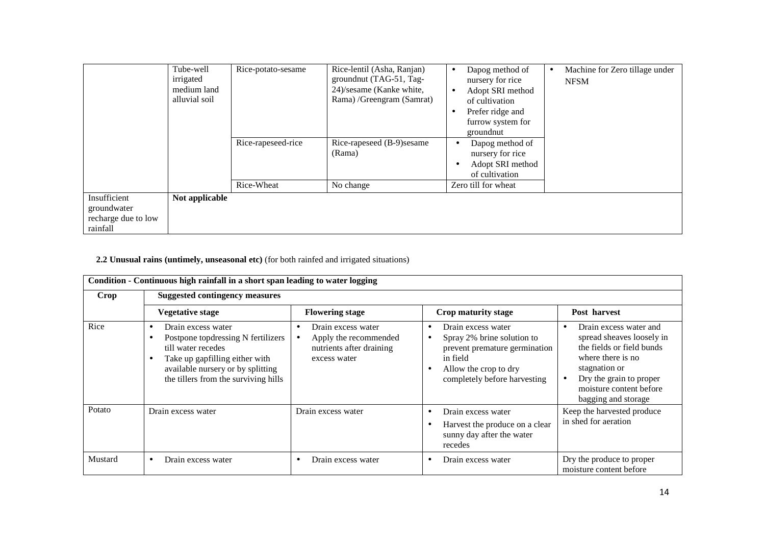|                                                                | Tube-well<br>irrigated<br>medium land<br>alluvial soil | Rice-potato-sesame<br>Rice-rapeseed-rice | Rice-lentil (Asha, Ranjan)<br>ground nut (TAG-51, Tag-<br>24)/sesame (Kanke white,<br>Rama) /Greengram (Samrat)<br>Rice-rapeseed (B-9) sesame | Dapog method of<br>$\bullet$<br>nursery for rice<br>Adopt SRI method<br>$\bullet$<br>of cultivation<br>Prefer ridge and<br>٠<br>furrow system for<br>groundnut<br>Dapog method of | Machine for Zero tillage under<br><b>NFSM</b> |
|----------------------------------------------------------------|--------------------------------------------------------|------------------------------------------|-----------------------------------------------------------------------------------------------------------------------------------------------|-----------------------------------------------------------------------------------------------------------------------------------------------------------------------------------|-----------------------------------------------|
|                                                                |                                                        | Rice-Wheat                               | (Rama)<br>No change                                                                                                                           | nursery for rice<br>Adopt SRI method<br>of cultivation<br>Zero till for wheat                                                                                                     |                                               |
| Insufficient<br>groundwater<br>recharge due to low<br>rainfall | Not applicable                                         |                                          |                                                                                                                                               |                                                                                                                                                                                   |                                               |

### **2.2 Unusual rains (untimely, unseasonal etc)** (for both rainfed and irrigated situations)

|         | Condition - Continuous high rainfall in a short span leading to water logging                                                                                                                                                |                                                                                                      |                                                                                                                                                        |                                                                                                                                                                                                     |  |  |
|---------|------------------------------------------------------------------------------------------------------------------------------------------------------------------------------------------------------------------------------|------------------------------------------------------------------------------------------------------|--------------------------------------------------------------------------------------------------------------------------------------------------------|-----------------------------------------------------------------------------------------------------------------------------------------------------------------------------------------------------|--|--|
| Crop    | <b>Suggested contingency measures</b>                                                                                                                                                                                        |                                                                                                      |                                                                                                                                                        |                                                                                                                                                                                                     |  |  |
|         | <b>Vegetative stage</b>                                                                                                                                                                                                      | <b>Flowering stage</b>                                                                               | Crop maturity stage                                                                                                                                    | Post harvest                                                                                                                                                                                        |  |  |
| Rice    | Drain excess water<br>$\bullet$<br>Postpone topdressing N fertilizers<br>٠<br>till water recedes<br>Take up gapfilling either with<br>$\bullet$<br>available nursery or by splitting<br>the tillers from the surviving hills | Drain excess water<br>$\bullet$<br>Apply the recommended<br>nutrients after draining<br>excess water | Drain excess water<br>Spray 2% brine solution to<br>prevent premature germination<br>in field<br>Allow the crop to dry<br>completely before harvesting | Drain excess water and<br>spread sheaves loosely in<br>the fields or field bunds<br>where there is no<br>stagnation or<br>Dry the grain to proper<br>moisture content before<br>bagging and storage |  |  |
| Potato  | Drain excess water                                                                                                                                                                                                           | Drain excess water                                                                                   | Drain excess water<br>Harvest the produce on a clear<br>sunny day after the water<br>recedes                                                           | Keep the harvested produce<br>in shed for aeration                                                                                                                                                  |  |  |
| Mustard | Drain excess water<br>$\bullet$                                                                                                                                                                                              | Drain excess water                                                                                   | Drain excess water                                                                                                                                     | Dry the produce to proper<br>moisture content before                                                                                                                                                |  |  |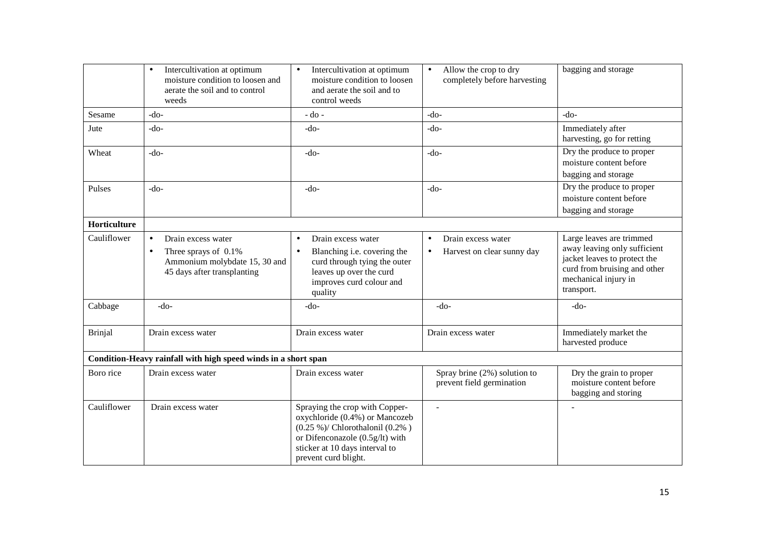|                     | Intercultivation at optimum<br>$\bullet$<br>moisture condition to loosen and<br>aerate the soil and to control<br>weeds              | Intercultivation at optimum<br>$\bullet$<br>moisture condition to loosen<br>and aerate the soil and to<br>control weeds                                                                                 | Allow the crop to dry<br>$\bullet$<br>completely before harvesting | bagging and storage                                                                                                                                            |
|---------------------|--------------------------------------------------------------------------------------------------------------------------------------|---------------------------------------------------------------------------------------------------------------------------------------------------------------------------------------------------------|--------------------------------------------------------------------|----------------------------------------------------------------------------------------------------------------------------------------------------------------|
| Sesame              | $-do-$                                                                                                                               | $-do$ -                                                                                                                                                                                                 | $-do-$                                                             | $-do-$                                                                                                                                                         |
| Jute                | $-do-$                                                                                                                               | -do-                                                                                                                                                                                                    | $-do-$                                                             | Immediately after<br>harvesting, go for retting                                                                                                                |
| Wheat               | $-do-$                                                                                                                               | $-do-$                                                                                                                                                                                                  | $-do-$                                                             | Dry the produce to proper<br>moisture content before<br>bagging and storage                                                                                    |
| Pulses              | $-do-$                                                                                                                               | $-do-$                                                                                                                                                                                                  | $-do-$                                                             | Dry the produce to proper<br>moisture content before<br>bagging and storage                                                                                    |
| <b>Horticulture</b> |                                                                                                                                      |                                                                                                                                                                                                         |                                                                    |                                                                                                                                                                |
| Cauliflower         | Drain excess water<br>$\bullet$<br>Three sprays of 0.1%<br>$\bullet$<br>Ammonium molybdate 15, 30 and<br>45 days after transplanting | Drain excess water<br>$\bullet$<br>Blanching i.e. covering the<br>$\bullet$<br>curd through tying the outer<br>leaves up over the curd<br>improves curd colour and<br>quality                           | Drain excess water<br>$\bullet$<br>Harvest on clear sunny day      | Large leaves are trimmed<br>away leaving only sufficient<br>jacket leaves to protect the<br>curd from bruising and other<br>mechanical injury in<br>transport. |
| Cabbage             | $-do-$                                                                                                                               | $-do-$                                                                                                                                                                                                  | $-do-$                                                             | $-do-$                                                                                                                                                         |
| <b>Brinjal</b>      | Drain excess water                                                                                                                   | Drain excess water                                                                                                                                                                                      | Drain excess water                                                 | Immediately market the<br>harvested produce                                                                                                                    |
|                     | Condition-Heavy rainfall with high speed winds in a short span                                                                       |                                                                                                                                                                                                         |                                                                    |                                                                                                                                                                |
| Boro rice           | Drain excess water                                                                                                                   | Drain excess water                                                                                                                                                                                      | Spray brine (2%) solution to<br>prevent field germination          | Dry the grain to proper<br>moisture content before<br>bagging and storing                                                                                      |
| Cauliflower         | Drain excess water                                                                                                                   | Spraying the crop with Copper-<br>oxychloride (0.4%) or Mancozeb<br>$(0.25 \%)$ / Chlorothalonil $(0.2\%)$<br>or Difenconazole (0.5g/lt) with<br>sticker at 10 days interval to<br>prevent curd blight. |                                                                    |                                                                                                                                                                |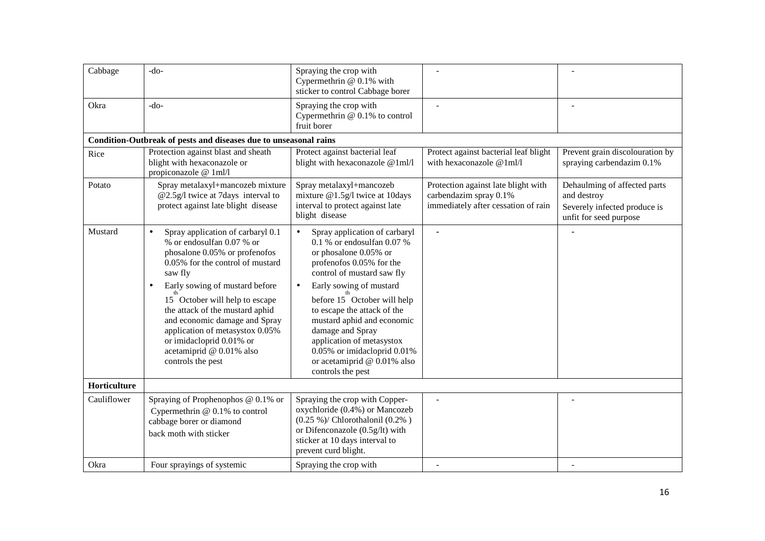| Cabbage      | $-do-$                                                                                                                                                                                                                                                                                                                                                                                                                           | Spraying the crop with<br>Cypermethrin @ 0.1% with<br>sticker to control Cabbage borer                                                                                                                                                                                                                                                                                                                                 |                                                                                                      |                                                                                                       |
|--------------|----------------------------------------------------------------------------------------------------------------------------------------------------------------------------------------------------------------------------------------------------------------------------------------------------------------------------------------------------------------------------------------------------------------------------------|------------------------------------------------------------------------------------------------------------------------------------------------------------------------------------------------------------------------------------------------------------------------------------------------------------------------------------------------------------------------------------------------------------------------|------------------------------------------------------------------------------------------------------|-------------------------------------------------------------------------------------------------------|
| Okra         | $-do-$                                                                                                                                                                                                                                                                                                                                                                                                                           | Spraying the crop with<br>Cypermethrin @ 0.1% to control<br>fruit borer                                                                                                                                                                                                                                                                                                                                                |                                                                                                      |                                                                                                       |
|              | Condition-Outbreak of pests and diseases due to unseasonal rains                                                                                                                                                                                                                                                                                                                                                                 |                                                                                                                                                                                                                                                                                                                                                                                                                        |                                                                                                      |                                                                                                       |
| Rice         | Protection against blast and sheath<br>blight with hexaconazole or<br>propiconazole @ 1ml/l                                                                                                                                                                                                                                                                                                                                      | Protect against bacterial leaf<br>blight with hexaconazole @1ml/l                                                                                                                                                                                                                                                                                                                                                      | Protect against bacterial leaf blight<br>with hexaconazole $@1m1/l$                                  | Prevent grain discolouration by<br>spraying carbendazim 0.1%                                          |
| Potato       | Spray metalaxyl+mancozeb mixture<br>@2.5g/l twice at 7days interval to<br>protect against late blight disease                                                                                                                                                                                                                                                                                                                    | Spray metalaxyl+mancozeb<br>mixture @1.5g/l twice at 10days<br>interval to protect against late<br>blight disease                                                                                                                                                                                                                                                                                                      | Protection against late blight with<br>carbendazim spray 0.1%<br>immediately after cessation of rain | Dehaulming of affected parts<br>and destroy<br>Severely infected produce is<br>unfit for seed purpose |
| Mustard      | Spray application of carbaryl 0.1<br>$\bullet$<br>% or endosulfan 0.07 % or<br>phosalone 0.05% or profenofos<br>0.05% for the control of mustard<br>saw fly<br>Early sowing of mustard before<br>$\bullet$<br>15 October will help to escape<br>the attack of the mustard aphid<br>and economic damage and Spray<br>application of metasystox 0.05%<br>or imidacloprid 0.01% or<br>acetamiprid @ 0.01% also<br>controls the pest | Spray application of carbaryl<br>0.1 % or endosulfan 0.07 %<br>or phosalone 0.05% or<br>profenofos 0.05% for the<br>control of mustard saw fly<br>Early sowing of mustard<br>$\bullet$<br>before 15 October will help<br>to escape the attack of the<br>mustard aphid and economic<br>damage and Spray<br>application of metasystox<br>0.05% or imidacloprid 0.01%<br>or acetamiprid @ 0.01% also<br>controls the pest |                                                                                                      |                                                                                                       |
| Horticulture |                                                                                                                                                                                                                                                                                                                                                                                                                                  |                                                                                                                                                                                                                                                                                                                                                                                                                        |                                                                                                      |                                                                                                       |
| Cauliflower  | Spraying of Prophenophos @ 0.1% or<br>Cypermethrin $@$ 0.1% to control<br>cabbage borer or diamond<br>back moth with sticker                                                                                                                                                                                                                                                                                                     | Spraying the crop with Copper-<br>oxychloride (0.4%) or Mancozeb<br>$(0.25\%)$ / Chlorothalonil $(0.2\%)$<br>or Difenconazole (0.5g/lt) with<br>sticker at 10 days interval to<br>prevent curd blight.                                                                                                                                                                                                                 |                                                                                                      |                                                                                                       |
| Okra         | Four sprayings of systemic                                                                                                                                                                                                                                                                                                                                                                                                       | Spraying the crop with                                                                                                                                                                                                                                                                                                                                                                                                 |                                                                                                      |                                                                                                       |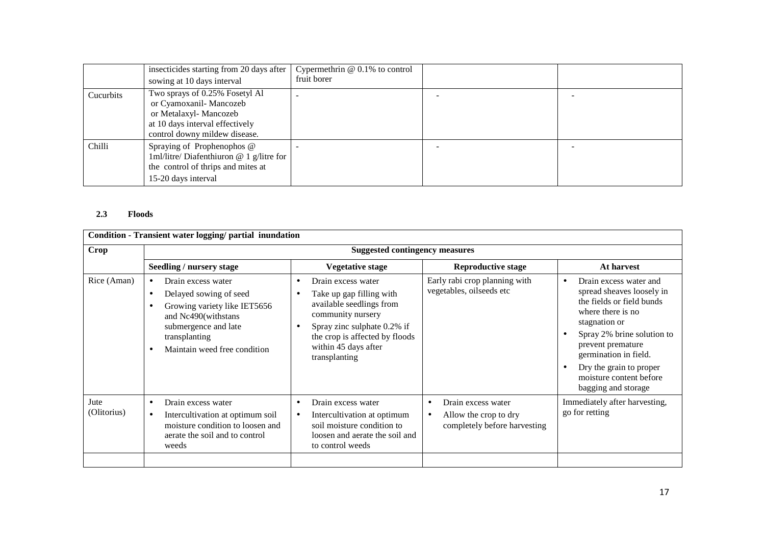|           | insecticides starting from 20 days after<br>sowing at 10 days interval                                                                                 | Cypermethrin $@$ 0.1% to control<br>fruit borer |  |
|-----------|--------------------------------------------------------------------------------------------------------------------------------------------------------|-------------------------------------------------|--|
| Cucurbits | Two sprays of 0.25% Fosetyl Al<br>or Cyamoxanil-Mancozeb<br>or Metalaxyl- Mancozeb<br>at 10 days interval effectively<br>control downy mildew disease. | -                                               |  |
| Chilli    | Spraying of Prophenophos @<br>1ml/litre/ Diafenthiuron $@$ 1 g/litre for<br>the control of thrips and mites at<br>15-20 days interval                  |                                                 |  |

# **2.3 Floods**

| Seedling / nursery stage                                                                                                                                                                                    |                                                                                                                                                                                                           |                                                                                                       |                                                                                                                                                                                                                                                                                 |  |  |  |  |
|-------------------------------------------------------------------------------------------------------------------------------------------------------------------------------------------------------------|-----------------------------------------------------------------------------------------------------------------------------------------------------------------------------------------------------------|-------------------------------------------------------------------------------------------------------|---------------------------------------------------------------------------------------------------------------------------------------------------------------------------------------------------------------------------------------------------------------------------------|--|--|--|--|
|                                                                                                                                                                                                             |                                                                                                                                                                                                           | <b>Suggested contingency measures</b>                                                                 |                                                                                                                                                                                                                                                                                 |  |  |  |  |
|                                                                                                                                                                                                             | <b>Vegetative stage</b>                                                                                                                                                                                   | <b>Reproductive stage</b>                                                                             | At harvest                                                                                                                                                                                                                                                                      |  |  |  |  |
| Drain excess water<br>$\bullet$<br>Delayed sowing of seed<br>$\bullet$<br>Growing variety like IET5656<br>٠<br>and Nc490(withstans<br>submergence and late<br>transplanting<br>Maintain weed free condition | Drain excess water<br>Take up gap filling with<br>available seedlings from<br>community nursery<br>Spray zinc sulphate 0.2% if<br>the crop is affected by floods<br>within 45 days after<br>transplanting | Early rabi crop planning with<br>vegetables, oilseeds etc                                             | Drain excess water and<br>spread sheaves loosely in<br>the fields or field bunds<br>where there is no<br>stagnation or<br>Spray 2% brine solution to<br>prevent premature<br>germination in field.<br>Dry the grain to proper<br>moisture content before<br>bagging and storage |  |  |  |  |
| Drain excess water<br>$\bullet$<br>Intercultivation at optimum soil<br>$\bullet$<br>moisture condition to loosen and<br>aerate the soil and to control<br>weeds                                             | Drain excess water<br>Intercultivation at optimum<br>soil moisture condition to<br>loosen and aerate the soil and<br>to control weeds                                                                     | Drain excess water<br>$\bullet$<br>Allow the crop to dry<br>$\bullet$<br>completely before harvesting | Immediately after harvesting,<br>go for retting                                                                                                                                                                                                                                 |  |  |  |  |
|                                                                                                                                                                                                             |                                                                                                                                                                                                           |                                                                                                       |                                                                                                                                                                                                                                                                                 |  |  |  |  |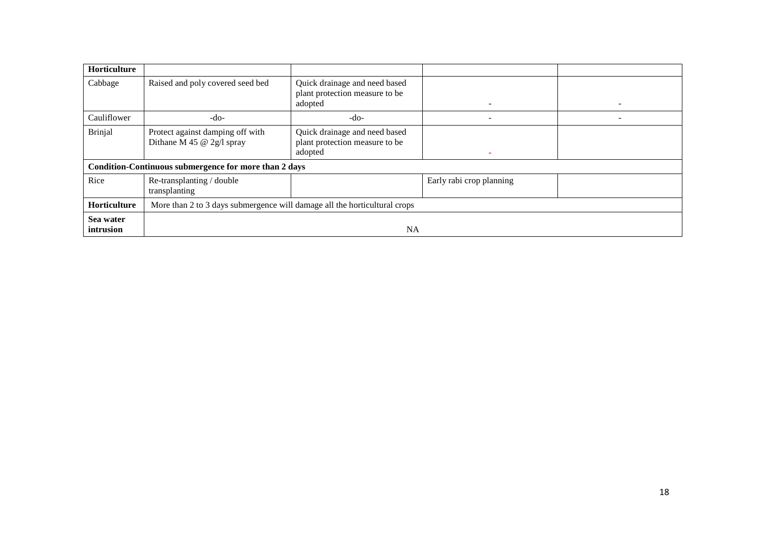| Horticulture           |                                                                           |                                                                            |                          |  |
|------------------------|---------------------------------------------------------------------------|----------------------------------------------------------------------------|--------------------------|--|
| Cabbage                | Raised and poly covered seed bed                                          | Quick drainage and need based<br>plant protection measure to be<br>adopted |                          |  |
| Cauliflower            | -do-                                                                      | $-do-$                                                                     |                          |  |
| <b>Brinjal</b>         | Protect against damping off with<br>Dithane M 45 $@$ 2g/l spray           | Quick drainage and need based<br>plant protection measure to be<br>adopted |                          |  |
|                        | Condition-Continuous submergence for more than 2 days                     |                                                                            |                          |  |
| Rice                   | Re-transplanting / double<br>transplanting                                |                                                                            | Early rabi crop planning |  |
| <b>Horticulture</b>    | More than 2 to 3 days submergence will damage all the horticultural crops |                                                                            |                          |  |
| Sea water<br>intrusion | <b>NA</b>                                                                 |                                                                            |                          |  |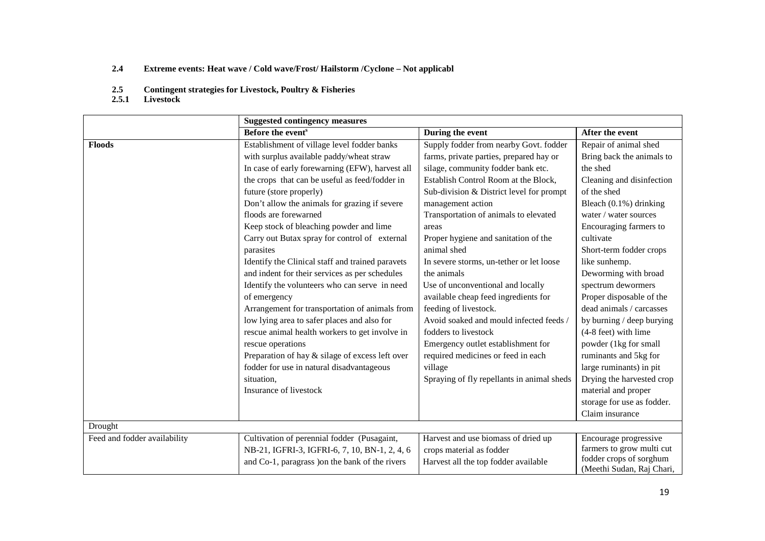- **2.4Extreme events: Heat wave / Cold wave/Frost/ Hailstorm /Cyclone – Not applicabl**
- **2.5Contingent strategies for Livestock, Poultry & Fisheries**
- **2.5.1 Livestock**

|                              | <b>Suggested contingency measures</b>            |                                            |                                                      |
|------------------------------|--------------------------------------------------|--------------------------------------------|------------------------------------------------------|
|                              | Before the event <sup>s</sup>                    | During the event                           | After the event                                      |
| <b>Floods</b>                | Establishment of village level fodder banks      | Supply fodder from nearby Govt. fodder     | Repair of animal shed                                |
|                              | with surplus available paddy/wheat straw         | farms, private parties, prepared hay or    | Bring back the animals to                            |
|                              | In case of early forewarning (EFW), harvest all  | silage, community fodder bank etc.         | the shed                                             |
|                              | the crops that can be useful as feed/fodder in   | Establish Control Room at the Block,       | Cleaning and disinfection                            |
|                              | future (store properly)                          | Sub-division & District level for prompt   | of the shed                                          |
|                              | Don't allow the animals for grazing if severe    | management action                          | Bleach (0.1%) drinking                               |
|                              | floods are forewarned                            | Transportation of animals to elevated      | water / water sources                                |
|                              | Keep stock of bleaching powder and lime          | areas                                      | Encouraging farmers to                               |
|                              | Carry out Butax spray for control of external    | Proper hygiene and sanitation of the       | cultivate                                            |
|                              | parasites                                        | animal shed                                | Short-term fodder crops                              |
|                              | Identify the Clinical staff and trained paravets | In severe storms, un-tether or let loose   | like sunhemp.                                        |
|                              | and indent for their services as per schedules   | the animals                                | Deworming with broad                                 |
|                              | Identify the volunteers who can serve in need    | Use of unconventional and locally          | spectrum dewormers                                   |
|                              | of emergency                                     | available cheap feed ingredients for       | Proper disposable of the                             |
|                              | Arrangement for transportation of animals from   | feeding of livestock.                      | dead animals / carcasses                             |
|                              | low lying area to safer places and also for      | Avoid soaked and mould infected feeds /    | by burning / deep burying                            |
|                              | rescue animal health workers to get involve in   | fodders to livestock                       | $(4-8$ feet) with lime                               |
|                              | rescue operations                                | Emergency outlet establishment for         | powder (1kg for small                                |
|                              | Preparation of hay & silage of excess left over  | required medicines or feed in each         | ruminants and 5kg for                                |
|                              | fodder for use in natural disadvantageous        | village                                    | large ruminants) in pit                              |
|                              | situation,                                       | Spraying of fly repellants in animal sheds | Drying the harvested crop                            |
|                              | Insurance of livestock                           |                                            | material and proper                                  |
|                              |                                                  |                                            | storage for use as fodder.                           |
|                              |                                                  |                                            | Claim insurance                                      |
| Drought                      |                                                  |                                            |                                                      |
| Feed and fodder availability | Cultivation of perennial fodder (Pusagaint,      | Harvest and use biomass of dried up        | Encourage progressive                                |
|                              | NB-21, IGFRI-3, IGFRI-6, 7, 10, BN-1, 2, 4, 6    | crops material as fodder                   | farmers to grow multi cut                            |
|                              | and Co-1, paragrass ) on the bank of the rivers  | Harvest all the top fodder available       | fodder crops of sorghum<br>(Meethi Sudan, Raj Chari, |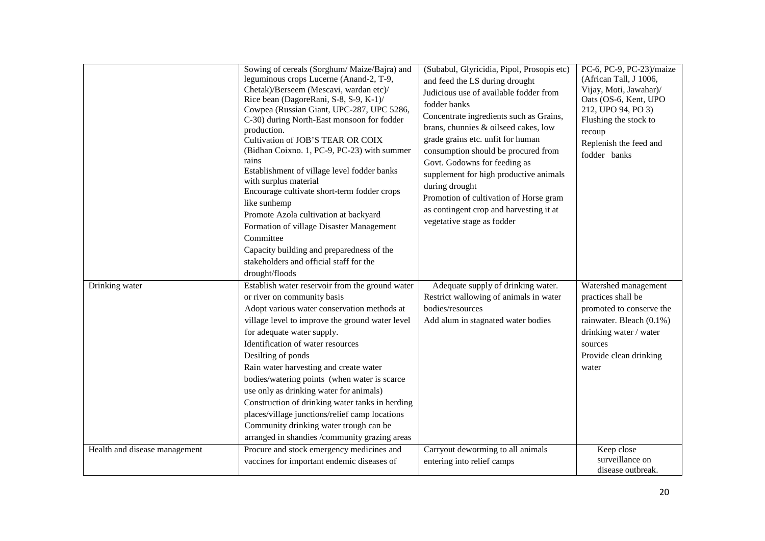|                               | Sowing of cereals (Sorghum/Maize/Bajra) and<br>leguminous crops Lucerne (Anand-2, T-9,<br>Chetak)/Berseem (Mescavi, wardan etc)/<br>Rice bean (DagoreRani, S-8, S-9, K-1)/<br>Cowpea (Russian Giant, UPC-287, UPC 5286,<br>C-30) during North-East monsoon for fodder<br>production.<br>Cultivation of JOB'S TEAR OR COIX<br>(Bidhan Coixno. 1, PC-9, PC-23) with summer<br>rains<br>Establishment of village level fodder banks<br>with surplus material<br>Encourage cultivate short-term fodder crops<br>like sunhemp<br>Promote Azola cultivation at backyard<br>Formation of village Disaster Management<br>Committee<br>Capacity building and preparedness of the<br>stakeholders and official staff for the<br>drought/floods | (Subabul, Glyricidia, Pipol, Prosopis etc)<br>and feed the LS during drought<br>Judicious use of available fodder from<br>fodder banks<br>Concentrate ingredients such as Grains,<br>brans, chunnies & oilseed cakes, low<br>grade grains etc. unfit for human<br>consumption should be procured from<br>Govt. Godowns for feeding as<br>supplement for high productive animals<br>during drought<br>Promotion of cultivation of Horse gram<br>as contingent crop and harvesting it at<br>vegetative stage as fodder | PC-6, PC-9, PC-23)/maize<br>(African Tall, J 1006,<br>Vijay, Moti, Jawahar)/<br>Oats (OS-6, Kent, UPO<br>212, UPO 94, PO 3)<br>Flushing the stock to<br>recoup<br>Replenish the feed and<br>fodder banks |
|-------------------------------|--------------------------------------------------------------------------------------------------------------------------------------------------------------------------------------------------------------------------------------------------------------------------------------------------------------------------------------------------------------------------------------------------------------------------------------------------------------------------------------------------------------------------------------------------------------------------------------------------------------------------------------------------------------------------------------------------------------------------------------|----------------------------------------------------------------------------------------------------------------------------------------------------------------------------------------------------------------------------------------------------------------------------------------------------------------------------------------------------------------------------------------------------------------------------------------------------------------------------------------------------------------------|----------------------------------------------------------------------------------------------------------------------------------------------------------------------------------------------------------|
| Drinking water                | Establish water reservoir from the ground water<br>or river on community basis                                                                                                                                                                                                                                                                                                                                                                                                                                                                                                                                                                                                                                                       | Adequate supply of drinking water.<br>Restrict wallowing of animals in water                                                                                                                                                                                                                                                                                                                                                                                                                                         | Watershed management<br>practices shall be                                                                                                                                                               |
|                               | Adopt various water conservation methods at                                                                                                                                                                                                                                                                                                                                                                                                                                                                                                                                                                                                                                                                                          | bodies/resources                                                                                                                                                                                                                                                                                                                                                                                                                                                                                                     | promoted to conserve the                                                                                                                                                                                 |
|                               | village level to improve the ground water level                                                                                                                                                                                                                                                                                                                                                                                                                                                                                                                                                                                                                                                                                      | Add alum in stagnated water bodies                                                                                                                                                                                                                                                                                                                                                                                                                                                                                   | rainwater. Bleach (0.1%)                                                                                                                                                                                 |
|                               | for adequate water supply.                                                                                                                                                                                                                                                                                                                                                                                                                                                                                                                                                                                                                                                                                                           |                                                                                                                                                                                                                                                                                                                                                                                                                                                                                                                      | drinking water / water                                                                                                                                                                                   |
|                               | Identification of water resources                                                                                                                                                                                                                                                                                                                                                                                                                                                                                                                                                                                                                                                                                                    |                                                                                                                                                                                                                                                                                                                                                                                                                                                                                                                      | sources                                                                                                                                                                                                  |
|                               | Desilting of ponds                                                                                                                                                                                                                                                                                                                                                                                                                                                                                                                                                                                                                                                                                                                   |                                                                                                                                                                                                                                                                                                                                                                                                                                                                                                                      | Provide clean drinking                                                                                                                                                                                   |
|                               | Rain water harvesting and create water                                                                                                                                                                                                                                                                                                                                                                                                                                                                                                                                                                                                                                                                                               |                                                                                                                                                                                                                                                                                                                                                                                                                                                                                                                      | water                                                                                                                                                                                                    |
|                               | bodies/watering points (when water is scarce                                                                                                                                                                                                                                                                                                                                                                                                                                                                                                                                                                                                                                                                                         |                                                                                                                                                                                                                                                                                                                                                                                                                                                                                                                      |                                                                                                                                                                                                          |
|                               | use only as drinking water for animals)                                                                                                                                                                                                                                                                                                                                                                                                                                                                                                                                                                                                                                                                                              |                                                                                                                                                                                                                                                                                                                                                                                                                                                                                                                      |                                                                                                                                                                                                          |
|                               | Construction of drinking water tanks in herding                                                                                                                                                                                                                                                                                                                                                                                                                                                                                                                                                                                                                                                                                      |                                                                                                                                                                                                                                                                                                                                                                                                                                                                                                                      |                                                                                                                                                                                                          |
|                               | places/village junctions/relief camp locations                                                                                                                                                                                                                                                                                                                                                                                                                                                                                                                                                                                                                                                                                       |                                                                                                                                                                                                                                                                                                                                                                                                                                                                                                                      |                                                                                                                                                                                                          |
|                               | Community drinking water trough can be                                                                                                                                                                                                                                                                                                                                                                                                                                                                                                                                                                                                                                                                                               |                                                                                                                                                                                                                                                                                                                                                                                                                                                                                                                      |                                                                                                                                                                                                          |
|                               | arranged in shandies /community grazing areas                                                                                                                                                                                                                                                                                                                                                                                                                                                                                                                                                                                                                                                                                        |                                                                                                                                                                                                                                                                                                                                                                                                                                                                                                                      |                                                                                                                                                                                                          |
| Health and disease management | Procure and stock emergency medicines and                                                                                                                                                                                                                                                                                                                                                                                                                                                                                                                                                                                                                                                                                            | Carryout deworming to all animals                                                                                                                                                                                                                                                                                                                                                                                                                                                                                    | Keep close                                                                                                                                                                                               |
|                               | vaccines for important endemic diseases of                                                                                                                                                                                                                                                                                                                                                                                                                                                                                                                                                                                                                                                                                           | entering into relief camps                                                                                                                                                                                                                                                                                                                                                                                                                                                                                           | surveillance on<br>disease outbreak.                                                                                                                                                                     |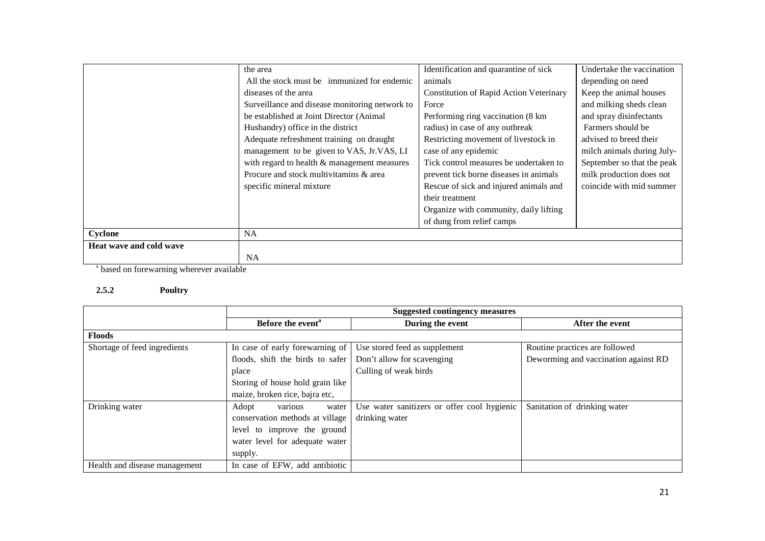|                         | the area                                       | Identification and quarantine of sick          | Undertake the vaccination  |
|-------------------------|------------------------------------------------|------------------------------------------------|----------------------------|
|                         | All the stock must be immunized for endemic    | animals                                        | depending on need          |
|                         | diseases of the area                           | <b>Constitution of Rapid Action Veterinary</b> | Keep the animal houses     |
|                         | Surveillance and disease monitoring network to | Force                                          | and milking sheds clean    |
|                         | be established at Joint Director (Animal)      | Performing ring vaccination (8 km              | and spray disinfectants    |
|                         | Husbandry) office in the district              | radius) in case of any outbreak                | Farmers should be          |
|                         | Adequate refreshment training on draught       | Restricting movement of livestock in           | advised to breed their     |
|                         | management to be given to VAS, Jr.VAS, LI      | case of any epidemic                           | milch animals during July- |
|                         | with regard to health & management measures    | Tick control measures be undertaken to         | September so that the peak |
|                         | Procure and stock multivitamins & area         | prevent tick borne diseases in animals         | milk production does not   |
|                         | specific mineral mixture                       | Rescue of sick and injured animals and         | coincide with mid summer   |
|                         |                                                | their treatment                                |                            |
|                         |                                                | Organize with community, daily lifting         |                            |
|                         |                                                | of dung from relief camps                      |                            |
| Cyclone                 | <b>NA</b>                                      |                                                |                            |
| Heat wave and cold wave |                                                |                                                |                            |
|                         | <b>NA</b>                                      |                                                |                            |

s based on forewarning wherever available

#### **2.5.2 Poultry**

|                               | <b>Suggested contingency measures</b> |                                             |                                      |
|-------------------------------|---------------------------------------|---------------------------------------------|--------------------------------------|
|                               | Before the event <sup>a</sup>         | During the event                            | After the event                      |
| <b>Floods</b>                 |                                       |                                             |                                      |
| Shortage of feed ingredients  | In case of early forewarning of       | Use stored feed as supplement               | Routine practices are followed       |
|                               | floods, shift the birds to safer      | Don't allow for scavenging                  | Deworming and vaccination against RD |
|                               | place                                 | Culling of weak birds                       |                                      |
|                               | Storing of house hold grain like      |                                             |                                      |
|                               | maize, broken rice, bajra etc,        |                                             |                                      |
| Drinking water                | various<br>Adopt<br>water             | Use water sanitizers or offer cool hygienic | Sanitation of drinking water         |
|                               | conservation methods at village       | drinking water                              |                                      |
|                               | level to improve the ground           |                                             |                                      |
|                               | water level for adequate water        |                                             |                                      |
|                               | supply.                               |                                             |                                      |
| Health and disease management | In case of EFW, add antibiotic        |                                             |                                      |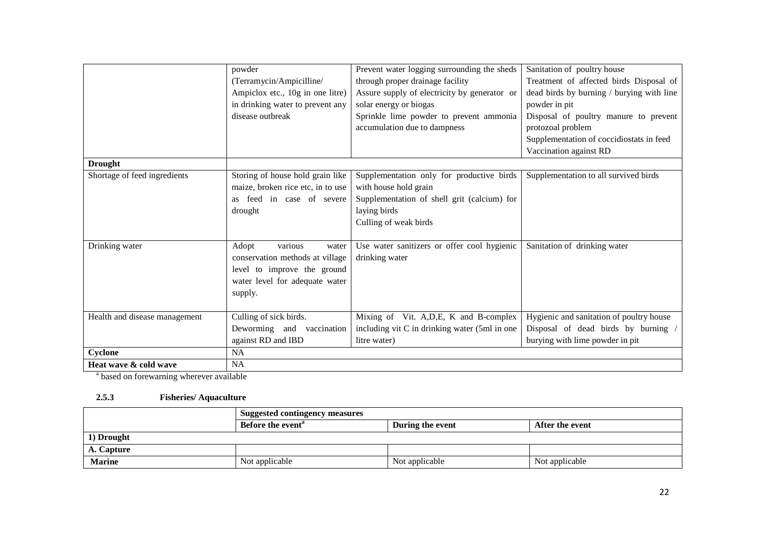|                               | powder<br>(Terramycin/Ampicilline/<br>Ampiclox etc., 10g in one litre)<br>in drinking water to prevent any<br>disease outbreak           | Prevent water logging surrounding the sheds<br>through proper drainage facility<br>Assure supply of electricity by generator or<br>solar energy or biogas<br>Sprinkle lime powder to prevent ammonia<br>accumulation due to dampness | Sanitation of poultry house<br>Treatment of affected birds Disposal of<br>dead birds by burning / burying with line<br>powder in pit<br>Disposal of poultry manure to prevent<br>protozoal problem<br>Supplementation of coccidiostats in feed |
|-------------------------------|------------------------------------------------------------------------------------------------------------------------------------------|--------------------------------------------------------------------------------------------------------------------------------------------------------------------------------------------------------------------------------------|------------------------------------------------------------------------------------------------------------------------------------------------------------------------------------------------------------------------------------------------|
|                               |                                                                                                                                          |                                                                                                                                                                                                                                      | Vaccination against RD                                                                                                                                                                                                                         |
| <b>Drought</b>                |                                                                                                                                          |                                                                                                                                                                                                                                      |                                                                                                                                                                                                                                                |
| Shortage of feed ingredients  | Storing of house hold grain like<br>maize, broken rice etc, in to use                                                                    | Supplementation only for productive birds<br>with house hold grain                                                                                                                                                                   | Supplementation to all survived birds                                                                                                                                                                                                          |
|                               | as feed in case of severe<br>drought                                                                                                     | Supplementation of shell grit (calcium) for<br>laying birds<br>Culling of weak birds                                                                                                                                                 |                                                                                                                                                                                                                                                |
| Drinking water                | various<br>Adopt<br>water<br>conservation methods at village<br>level to improve the ground<br>water level for adequate water<br>supply. | Use water sanitizers or offer cool hygienic<br>drinking water                                                                                                                                                                        | Sanitation of drinking water                                                                                                                                                                                                                   |
| Health and disease management | Culling of sick birds.                                                                                                                   | Mixing of Vit. A, D, E, K and B-complex                                                                                                                                                                                              | Hygienic and sanitation of poultry house                                                                                                                                                                                                       |
|                               | Deworming and vaccination                                                                                                                | including vit C in drinking water (5ml in one                                                                                                                                                                                        | Disposal of dead birds by burning                                                                                                                                                                                                              |
|                               | against RD and IBD                                                                                                                       | litre water)                                                                                                                                                                                                                         | burying with lime powder in pit                                                                                                                                                                                                                |
| Cyclone                       | NA                                                                                                                                       |                                                                                                                                                                                                                                      |                                                                                                                                                                                                                                                |
| Heat wave & cold wave         | <b>NA</b>                                                                                                                                |                                                                                                                                                                                                                                      |                                                                                                                                                                                                                                                |

<sup>a</sup> based on forewarning wherever available

#### **2.5.3 Fisheries/ Aquaculture**

|               | <b>Suggested contingency measures</b> |                  |                 |  |
|---------------|---------------------------------------|------------------|-----------------|--|
|               | Before the event <sup>a</sup>         | During the event | After the event |  |
| 1) Drought    |                                       |                  |                 |  |
| A. Capture    |                                       |                  |                 |  |
| <b>Marine</b> | Not applicable                        | Not applicable   | Not applicable  |  |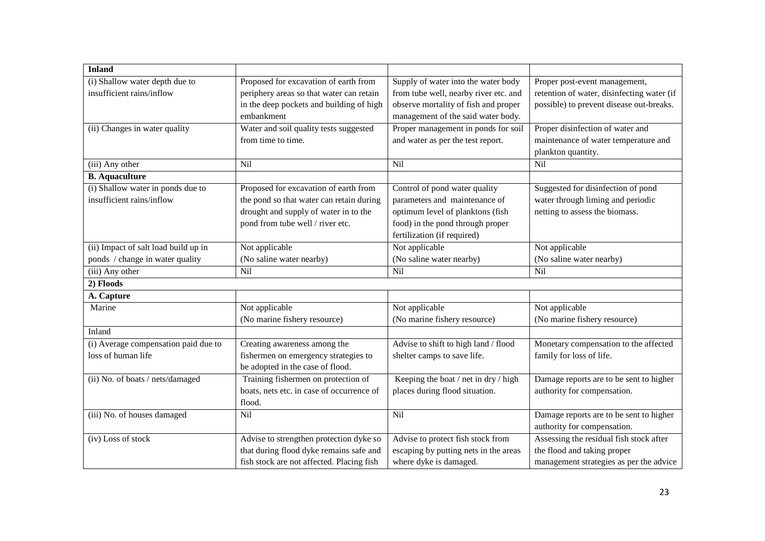| <b>Inland</b>                        |                                           |                                       |                                            |
|--------------------------------------|-------------------------------------------|---------------------------------------|--------------------------------------------|
| (i) Shallow water depth due to       | Proposed for excavation of earth from     | Supply of water into the water body   | Proper post-event management,              |
| insufficient rains/inflow            | periphery areas so that water can retain  | from tube well, nearby river etc. and | retention of water, disinfecting water (if |
|                                      | in the deep pockets and building of high  | observe mortality of fish and proper  | possible) to prevent disease out-breaks.   |
|                                      | embankment                                | management of the said water body.    |                                            |
| (ii) Changes in water quality        | Water and soil quality tests suggested    | Proper management in ponds for soil   | Proper disinfection of water and           |
|                                      | from time to time.                        | and water as per the test report.     | maintenance of water temperature and       |
|                                      |                                           |                                       | plankton quantity.                         |
| (iii) Any other                      | Nil                                       | Nil                                   | Nil                                        |
| <b>B.</b> Aquaculture                |                                           |                                       |                                            |
| (i) Shallow water in ponds due to    | Proposed for excavation of earth from     | Control of pond water quality         | Suggested for disinfection of pond         |
| insufficient rains/inflow            | the pond so that water can retain during  | parameters and maintenance of         | water through liming and periodic          |
|                                      | drought and supply of water in to the     | optimum level of planktons (fish      | netting to assess the biomass.             |
|                                      | pond from tube well / river etc.          | food) in the pond through proper      |                                            |
|                                      |                                           | fertilization (if required)           |                                            |
| (ii) Impact of salt load build up in | Not applicable                            | Not applicable                        | Not applicable                             |
| ponds / change in water quality      | (No saline water nearby)                  | (No saline water nearby)              | (No saline water nearby)                   |
| (iii) Any other                      | $\overline{Nil}$                          | Nil                                   | Nil                                        |
| 2) Floods                            |                                           |                                       |                                            |
| A. Capture                           |                                           |                                       |                                            |
| Marine                               | Not applicable                            | Not applicable                        | Not applicable                             |
|                                      | (No marine fishery resource)              | (No marine fishery resource)          | (No marine fishery resource)               |
| Inland                               |                                           |                                       |                                            |
| (i) Average compensation paid due to | Creating awareness among the              | Advise to shift to high land / flood  | Monetary compensation to the affected      |
| loss of human life                   | fishermen on emergency strategies to      | shelter camps to save life.           | family for loss of life.                   |
|                                      | be adopted in the case of flood.          |                                       |                                            |
| (ii) No. of boats / nets/damaged     | Training fishermen on protection of       | Keeping the boat / net in dry / high  | Damage reports are to be sent to higher    |
|                                      | boats, nets etc. in case of occurrence of | places during flood situation.        | authority for compensation.                |
|                                      | flood.                                    |                                       |                                            |
| (iii) No. of houses damaged          | Nil                                       | Nil                                   | Damage reports are to be sent to higher    |
|                                      |                                           |                                       | authority for compensation.                |
| (iv) Loss of stock                   | Advise to strengthen protection dyke so   | Advise to protect fish stock from     | Assessing the residual fish stock after    |
|                                      | that during flood dyke remains safe and   | escaping by putting nets in the areas | the flood and taking proper                |
|                                      | fish stock are not affected. Placing fish | where dyke is damaged.                | management strategies as per the advice    |